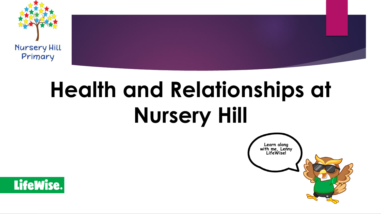

# **Health and Relationships at Nursery Hill**



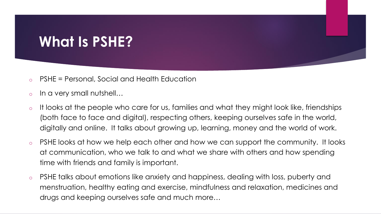## **What Is PSHE?**

- o PSHE = Personal, Social and Health Education
- o In a very small nutshell…
- o It looks at the people who care for us, families and what they might look like, friendships (both face to face and digital), respecting others, keeping ourselves safe in the world, digitally and online. It talks about growing up, learning, money and the world of work.
- o PSHE looks at how we help each other and how we can support the community. It looks at communication, who we talk to and what we share with others and how spending time with friends and family is important.
- o PSHE talks about emotions like anxiety and happiness, dealing with loss, puberty and menstruation, healthy eating and exercise, mindfulness and relaxation, medicines and drugs and keeping ourselves safe and much more…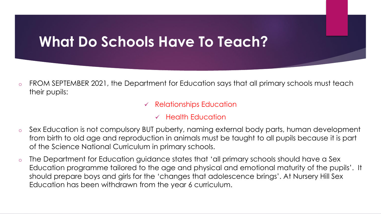## **What Do Schools Have To Teach?**

- o FROM SEPTEMBER 2021, the Department for Education says that all primary schools must teach their pupils:
	- $\checkmark$  Relationships Education
		- ✓ Health Education
- Sex Education is not compulsory BUT puberty, naming external body parts, human development from birth to old age and reproduction in animals must be taught to all pupils because it is part of the Science National Curriculum in primary schools.
- o The Department for Education guidance states that 'all primary schools should have a Sex Education programme tailored to the age and physical and emotional maturity of the pupils'. It should prepare boys and girls for the 'changes that adolescence brings'. At Nursery Hill Sex Education has been withdrawn from the year 6 curriculum.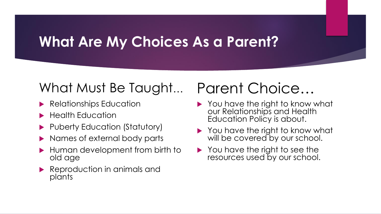### **What Are My Choices As a Parent?**

### What Must Be Taught… Parent Choice…

- **Relationships Education**
- $\blacktriangleright$  Health Education
- Puberty Education (Statutory)
- Names of external body parts
- **Human development from birth to** old age
- **Reproduction in animals and** plants

- ▶ You have the right to know what our Relationships and Health Education Policy is about.
- ▶ You have the right to know what will be covered by our school.
- ▶ You have the right to see the resources used by our school.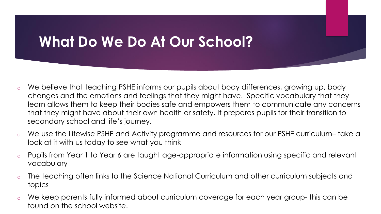## **What Do We Do At Our School?**

- o We believe that teaching PSHE informs our pupils about body differences, growing up, body changes and the emotions and feelings that they might have. Specific vocabulary that they learn allows them to keep their bodies safe and empowers them to communicate any concerns that they might have about their own health or safety. It prepares pupils for their transition to secondary school and life's journey.
- o We use the Lifewise PSHE and Activity programme and resources for our PSHE curriculum– take a look at it with us today to see what you think
- o Pupils from Year 1 to Year 6 are taught age-appropriate information using specific and relevant vocabulary
- o The teaching often links to the Science National Curriculum and other curriculum subjects and topics
- o We keep parents fully informed about curriculum coverage for each year group- this can be found on the school website.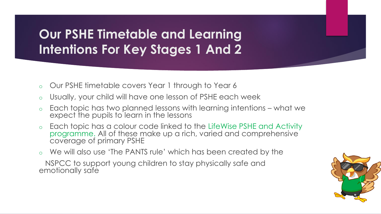#### **Our PSHE Timetable and Learning Intentions For Key Stages 1 And 2**

- o Our PSHE timetable covers Year 1 through to Year 6
- o Usually, your child will have one lesson of PSHE each week
- $\circ$  Each topic has two planned lessons with learning intentions what we expect the pupils to learn in the lessons
- o Each topic has a colour code linked to the LifeWise PSHE and Activity programme. All of these make up a rich, varied and comprehensive coverage of primary PSHE
- o We will also use 'The PANTS rule' which has been created by the

NSPCC to support young children to stay physically safe and emotionally safe

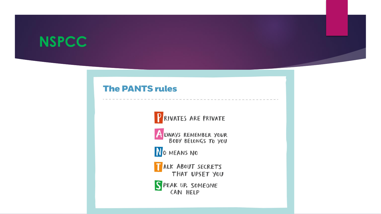### **NSPCC**

#### **The PANTS rules**





NO MEANS NO

ALK ABOUT SECRETS<br>THAT UPSET YOU

SPEAK UP, SOMEONE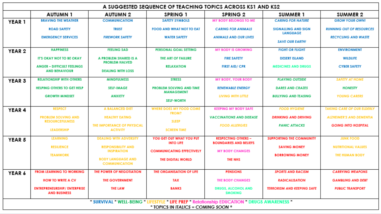| A SUGGESTED SEQUENCE OF TEACHING TOPICS ACROSS KS1 AND KS2                                                                         |                                                            |                                                  |                                              |                                                             |                                               |                                   |
|------------------------------------------------------------------------------------------------------------------------------------|------------------------------------------------------------|--------------------------------------------------|----------------------------------------------|-------------------------------------------------------------|-----------------------------------------------|-----------------------------------|
|                                                                                                                                    | <b>AUTUMN1</b>                                             | <b>AUTUMN 2</b>                                  | <b>SPRING 1</b>                              | <b>SPRING 2</b>                                             | SUMMER 1                                      | SUMMER 2                          |
| YEAR 1                                                                                                                             | <b>BRAVING THE WEATHER</b>                                 | <b>COMMUNICATION</b>                             | <b>SAFETY SYMBOLS</b>                        | <b>MY BODY BELONGS TO ME</b>                                | <b>CARING FOR NATURE</b>                      | <b>GROW YOUR OWN!</b>             |
|                                                                                                                                    | <b>ROAD SAFETY</b>                                         | TRUST                                            | FOOD AND WHAT NOT TO EAT                     | <b>CARING FOR ANIMALS</b>                                   | <b>SIGNALLING AND SIGN</b><br><b>LANGUAGE</b> | <b>RUNNING OUT OF RESOURCES</b>   |
|                                                                                                                                    | <b>EMERGENCY SERVICES</b>                                  | <b>FIREWORK SAFETY</b>                           | <b>WATER SAFETY</b>                          | <b>ANIMALS AND OUR LIVES</b>                                | <b>SAVE OUR EARTH!</b>                        | <b>RECYCLING AND WASTE</b>        |
|                                                                                                                                    |                                                            |                                                  |                                              |                                                             |                                               |                                   |
| YEAR <sub>2</sub>                                                                                                                  | <b>HAPPINESS</b>                                           | <b>FEELING SAD</b>                               | <b>PERSONAL GOAL SETTING</b>                 | <b>MY BODY IS GROWING</b>                                   | <b>FIGHT OR FLIGHT</b>                        | <b>ENVIRONMENT</b>                |
|                                                                                                                                    | <b>IT'S OKAY NOT TO BE OKAY</b>                            | A PROBLEM SHARED IS A<br><b>PROBLEM HALVED</b>   | THE ART OF FAILURE                           | <b>FIRE SAFETY</b>                                          | <b>DESERT ISLAND</b>                          | WILDLIFE                          |
|                                                                                                                                    | <b>ANGER - DIFFICULT FEELINGS</b><br><b>AND BEHAVIOUR</b>  | <b>DEALING WITH LOSS</b>                         | <b>RELAXATION</b>                            | <b>FIRST AID/ CPR</b>                                       | <b>MEDICINES AND DRUGS</b>                    | <b>CYBER SAFETY</b>               |
| YEAR <sub>3</sub>                                                                                                                  | <b>RELATIONSHIP WITH OTHERS</b>                            | <b>MINDFULNESS</b>                               | <b>STRESS</b>                                | <b>MY BODY, YOUR BODY</b>                                   | <b>PLAYING OUTSIDE</b>                        | <b>SAFETY AT HOME</b>             |
|                                                                                                                                    | HELPING OTHERS TO GET HELP                                 | <b>SELF-IMAGE</b>                                | <b>PROBLEM SOLVING AND TIME</b>              | <b>RENEWABLE ENERGY</b>                                     | <b>DARES AND CRAZES</b>                       | <b>HONESTY</b>                    |
|                                                                                                                                    | <b>GROWTH MINDSET</b>                                      | <b>ANXIETY</b>                                   | <b>MANAGEMENT</b>                            | LIVING WITH LITTLE                                          | <b>BULLYING AND TEASING</b>                   | <b>YOUNG CARERS</b>               |
|                                                                                                                                    |                                                            |                                                  | <b>SELF-WORTH</b>                            |                                                             |                                               |                                   |
| YEAR 4                                                                                                                             | <b>RESPECT</b>                                             | <b>A BALANCED DIET</b>                           | WHERE DOES MY FOOD COME<br><b>FROM?</b>      | <b>KEEPING MY BODY SAFE</b>                                 | <b>FOOD HYGIENE</b>                           | <b>TAKING CARE OF OUR ELDERLY</b> |
|                                                                                                                                    | <b>PROBLEM SOLVING AND</b><br><b>RESOURCEFULNESS</b>       | <b>HEALTHY EATING</b>                            | <b>SLEEP</b>                                 | <b>VACCINATIONS AND DISEASE</b>                             | <b>DRINKING AND DRIVING</b>                   | <b>ALZHEIMER'S AND DEMENTIA</b>   |
|                                                                                                                                    |                                                            | THE IMPORTANCE OF PHYSICAL                       |                                              | <b>FOOD ALLERGIES</b>                                       | <b>PANIC ATTACKS</b>                          | <b>GOING INTO HOSPITAL</b>        |
|                                                                                                                                    | <b>LEADERSHIP</b>                                          | <b>ACTIVITY</b>                                  | <b>SCREEN TIME</b>                           |                                                             |                                               |                                   |
| YEAR 5                                                                                                                             | <b>LEARNING</b>                                            | <b>DEALING WITH ADVERSITY</b>                    | YOU GET OUT WHAT YOU PUT<br><b>INTO LIFE</b> | <b>RESPECTING OTHERS -</b><br><b>BOUNDARIES AND BELIEFS</b> | <b>SUPPORTING THE COMMUNITY</b>               | <b>JUNK FOOD</b>                  |
|                                                                                                                                    | <b>RESILIENCE</b>                                          | <b>RESPONSIBILITY AND</b>                        |                                              |                                                             | <b>SAVING MONEY</b>                           | <b>NUTRITIONAL VALUES</b>         |
|                                                                                                                                    | <b><i>TEAMWORK</i></b>                                     | <b>INSPIRATION</b>                               | <b>COMMUNICATING EFFECTIVELY</b>             | <b>MY BODY CHANGES</b>                                      | <b>BORROWING MONEY</b>                        | <b>THE HUMAN BODY</b>             |
|                                                                                                                                    |                                                            | <b>BODY LANGUAGE AND</b><br><b>COMMUNICATION</b> | THE DIGITAL WORLD                            | <b>THE NHS</b>                                              |                                               |                                   |
| YEAR 6                                                                                                                             | <b>FROM LEARNING TO WORKING</b>                            | THE POWER OF NEGOTIATION                         | THE ORGANISATION OF LIFE                     | <b>PENSIONS</b>                                             | <b>SPORTS AND RACISM</b>                      | <b>CARRYING WEAPONS</b>           |
|                                                                                                                                    | <b>HOW TO WRITE A CV</b>                                   | <b>THE GOVERNMENT</b>                            | TAX                                          | <b>THE BODY CHANGES</b>                                     | <b>RADICALISATION</b>                         | <b>GAMBLING AND DEBT</b>          |
|                                                                                                                                    | <b>ENTREPRENEURSHIP/ ENTERPRISE</b><br><b>AND BUSINESS</b> | THE LAW                                          | BANKS                                        | <b>DRUGS, ALCOHOL AND</b><br><b>SMOKING</b>                 | <b>TERRORISM AND KEEPING SAFE</b>             | <b>PUBLIC TRANSPORT</b>           |
| " SURVIVAL "WELL-BEING " LIFESTYLE " LIFE PREP " Relationship EDUCATION " DRUGS AWARENESS "<br>* TOPICS IN ITALICS = COMING SOON * |                                                            |                                                  |                                              |                                                             |                                               |                                   |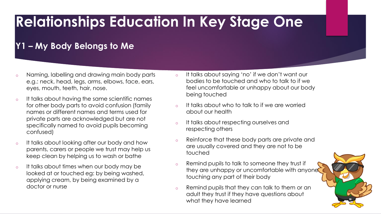## **Relationships Education In Key Stage One**

#### **Y1 – My Body Belongs to Me**

- o Naming, labelling and drawing main body parts e.g.: neck, head, legs, arms, elbows, face, ears, eyes, mouth, teeth, hair, nose.
- o It talks about having the same scientific names for other body parts to avoid confusion (family names or different names and terms used for private parts are acknowledged but are not specifically named to avoid pupils becoming confused)
- o It talks about looking after our body and how parents, carers or people we trust may help us keep clean by helping us to wash or bathe
- o It talks about times when our body may be looked at or touched eg: by being washed, applying cream, by being examined by a doctor or nurse
- o It talks about saying 'no' if we don't want our bodies to be touched and who to talk to if we feel uncomfortable or unhappy about our body being touched
- o It talks about who to talk to if we are worried about our health
- o It talks about respecting ourselves and respecting others
- o Reinforce that these body parts are private and are usually covered and they are not to be touched
- o Remind pupils to talk to someone they trust if they are unhappy or uncomfortable with anyone touching any part of their body
- o Remind pupils that they can talk to them or an adult they trust if they have questions about what they have learned

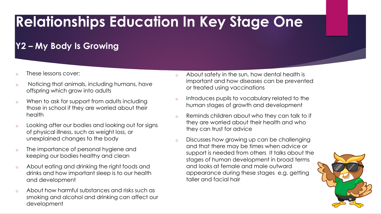## **Relationships Education In Key Stage One**

#### **Y2 – My Body Is Growing**

- These lessons cover:
- o Noticing that animals, including humans, have offspring which grow into adults
- o When to ask for support from adults including those in school if they are worried about their health
- o Looking after our bodies and looking out for signs of physical illness, such as weight loss, or unexplained changes to the body
- o The importance of personal hygiene and keeping our bodies healthy and clean
- o About eating and drinking the right foods and drinks and how important sleep is to our health and development
- o About how harmful substances and risks such as smoking and alcohol and drinking can affect our development
- o About safety in the sun, how dental health is important and how diseases can be prevented or treated using vaccinations
- o Introduces pupils to vocabulary related to the human stages of growth and development
- o Reminds children about who they can talk to if they are worried about their health and who they can trust for advice
- o Discusses how growing up can be challenging and that there may be times when advice or support is needed from others It talks about the stages of human development in broad terms and looks at female and male outward appearance during these stages e.g. getting taller and facial hair

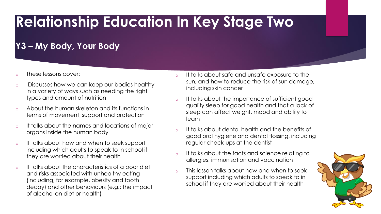## **Relationship Education In Key Stage Two**

#### **Y3 – My Body, Your Body**

- o These lessons cover:
- o Discusses how we can keep our bodies healthy in a variety of ways such as needing the right types and amount of nutrition
- o About the human skeleton and its functions in terms of movement, support and protection
- o It talks about the names and locations of major organs inside the human body
- o It talks about how and when to seek support including which adults to speak to in school if they are worried about their health
- o It talks about the characteristics of a poor diet and risks associated with unhealthy eating (including, for example, obesity and tooth decay) and other behaviours (e.g.: the impact of alcohol on diet or health)
- o It talks about safe and unsafe exposure to the sun, and how to reduce the risk of sun damage, including skin cancer
- o It talks about the importance of sufficient good quality sleep for good health and that a lack of sleep can affect weight, mood and ability to learn
- o It talks about dental health and the benefits of good oral hygiene and dental flossing, including regular check-ups at the dentist
- o It talks about the facts and science relating to allergies, immunisation and vaccination
- o This lesson talks about how and when to seek support including which adults to speak to in school if they are worried about their health

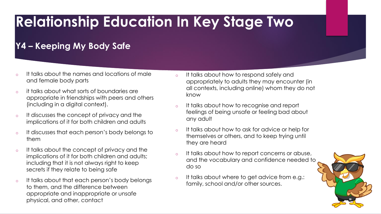## **Relationship Education In Key Stage Two**

#### **Y4 – Keeping My Body Safe**

- o It talks about the names and locations of male and female body parts
- o it talks about what sorts of boundaries are appropriate in friendships with peers and others (including in a digital context).
- o It discusses the concept of privacy and the implications of it for both children and adults
- o It discusses that each person's body belongs to them
- o It talks about the concept of privacy and the implications of it for both children and adults; including that it is not always right to keep secrets if they relate to being safe
- o It talks about that each person's body belongs to them, and the difference between appropriate and inappropriate or unsafe physical, and other, contact
- o It talks about how to respond safely and appropriately to adults they may encounter (in all contexts, including online) whom they do not know
- o It talks about how to recognise and report feelings of being unsafe or feeling bad about any adult
- o It talks about how to ask for advice or help for themselves or others, and to keep trying until they are heard
- o It talks about how to report concerns or abuse, and the vocabulary and confidence needed to do so
- o It talks about where to get advice from e.g.: family, school and/or other sources.

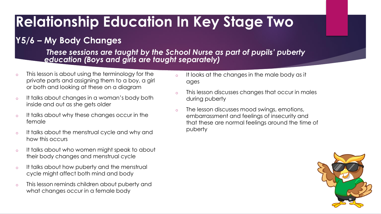## **Relationship Education In Key Stage Two**

#### **Y5/6 – My Body Changes**

*These sessions are taught by the School Nurse as part of pupils' puberty education (Boys and girls are taught separately)*

- o This lesson is about using the terminology for the private parts and assigning them to a boy, a girl or both and looking at these on a diagram
- o It talks about changes in a woman's body both inside and out as she gets older
- o It talks about why these changes occur in the female
- o It talks about the menstrual cycle and why and how this occurs
- o It talks about who women might speak to about their body changes and menstrual cycle
- o It talks about how puberty and the menstrual cycle might affect both mind and body
- o This lesson reminds children about puberty and what changes occur in a female body
- o It looks at the changes in the male body as it ages
- o This lesson discusses changes that occur in males during puberty
- o The lesson discusses mood swings, emotions, embarrassment and feelings of insecurity and that these are normal feelings around the time of puberty

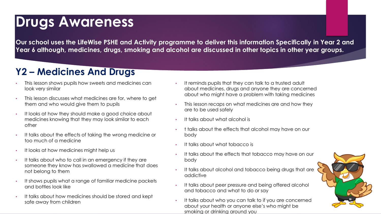### **Drugs Awareness**

**Our school uses the LifeWise PSHE and Activity programme to deliver this information Specifically in Year 2 and Year 6 although, medicines, drugs, smoking and alcohol are discussed in other topics in other year groups.**

#### **Y2 – Medicines And Drugs**

- This lesson shows pupils how sweets and medicines can look very similar
- This lesson discusses what medicines are for, where to get them and who would give them to pupils
- It looks at how they should make a good choice about medicines knowing that they may look similar to each other
- It talks about the effects of taking the wrong medicine or too much of a medicine
- It looks at how medicines might help us
- It talks about who to call in an emergency if they are someone they know has swallowed a medicine that does not belong to them
- It shows pupils what a range of familiar medicine packets and bottles look like
- It talks about how medicines should be stored and kept safe away from children
- It reminds pupils that they can talk to a trusted adult about medicines, drugs and anyone they are concerned about who might have a problem with taking medicines
- This lesson recaps on what medicines are and how they are to be used safely
- It talks about what alcohol is
- t talks about the effects that alcohol may have on our body
- It talks about what tobacco is
- It talks about the effects that tobacco may have on our body
- It talks about alcohol and tobacco being drugs that are addictive
- It talks about peer pressure and being offered alcohol and tobacco and what to do or say
- It talks about who you can talk to if you are concerned about your health or anyone else's who might be smoking or drinking around you

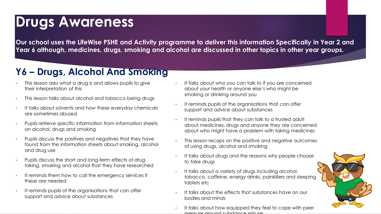### **Drugs Awareness**

**Our school uses the LifeWise PSHE and Activity programme to deliver this information Specifically in Year 2 and Year 6 although, medicines, drugs, smoking and alcohol are discussed in other topics in other year groups.**

#### **Y6 – Drugs, Alcohol And Smoking**

- This lesson asks what a drug is and allows pupils to give their interpretation of this
- This lesson talks about alcohol and tobacco being drugs
- It talks about solvents and how these everyday chemicals are sometimes abused
- Pupils retrieve specific information from information sheets on alcohol, drugs and smoking
- Pupils discuss the positives and negatives that they have found from the information sheets about smoking, alcohol and drug use
- Pupils discuss the short and long-term effects of drug taking, smoking and alcohol that they have researched
- It reminds them how to call the emergency services if these are needed
- It reminds pupils of the organisations that can offer support and advice about substances
- It talks about who you can talk to if you are concerned about your health or anyone else's who might be smoking or drinking around you
- It reminds pupils of the organisations that can offer support and advice about substances
- It reminds pupils that they can talk to a trusted adult about medicines, drugs and anyone they are concerned about who might have a problem with taking medicines
- This lesson recaps on the positive and negative outcomes of using drugs, alcohol and smoking
- It talks about drugs and the reasons why people choose to take drugs
- It talks about a variety of drugs including alcohol, tobacco, caffeine, energy drinks, painkillers and sleeping tablets etc
- It talks about the effects that substances have on our bodies and minds
- it talks about how equipped they feel to cope with peer pressure around substance misuse

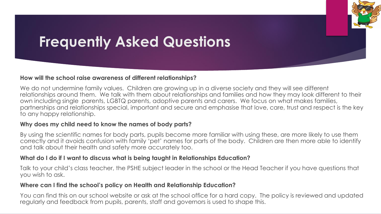## **Frequently Asked Questions**

#### **How will the school raise awareness of different relationships?**

We do not undermine family values. Children are growing up in a diverse society and they will see different relationships around them. We talk with them about relationships and families and how they may look different to their own including single parents, LGBTQ parents, adoptive parents and carers. We focus on what makes families, partnerships and relationships special, important and secure and emphasise that love, care, trust and respect is the key to any happy relationship.

#### **Why does my child need to know the names of body parts?**

By using the scientific names for body parts, pupils become more familiar with using these, are more likely to use them correctly and it avoids confusion with family 'pet' names for parts of the body. Children are then more able to identify and talk about their health and safety more accurately too.

#### **What do I do if I want to discuss what is being taught in Relationships Education?**

Talk to your child's class teacher, the PSHE subject leader in the school or the Head Teacher if you have questions that you wish to ask.

#### **Where can I find the school's policy on Health and Relationship Education?**

You can find this on our school website or ask at the school office for a hard copy. The policy is reviewed and updated regularly and feedback from pupils, parents, staff and governors is used to shape this.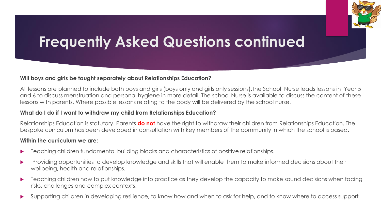## **Frequently Asked Questions continued**

#### **Will boys and girls be taught separately about Relationships Education?**

All lessons are planned to include both boys and girls (boys only and girls only sessions).The School Nurse leads lessons in Year 5 and 6 to discuss menstruation and personal hygiene in more detail. The school Nurse is available to discuss the content of these lessons with parents. Where possible lessons relating to the body will be delivered by the school nurse.

#### **What do I do if I want to withdraw my child from Relationships Education?**

Relationships Education is statutory. Parents **do not** have the right to withdraw their children from Relationships Education. The bespoke curriculum has been developed in consultation with key members of the community in which the school is based.

#### **Within the curriculum we are:**

- Teaching children fundamental building blocks and characteristics of positive relationships.
- Providing opportunities to develop knowledge and skills that will enable them to make informed decisions about their wellbeing, health and relationships.
- Teaching children how to put knowledge into practice as they develop the capacity to make sound decisions when facing risks, challenges and complex contexts.
- Supporting children in developing resilience, to know how and when to ask for help, and to know where to access support